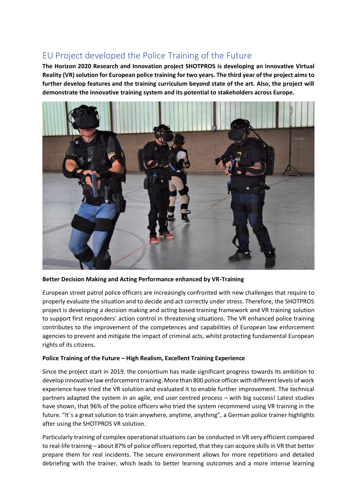# EU Project developed the Police Training of the Future

**The Horizon 2020 Research and Innovation project SHOTPROS is developing an innovative Virtual Reality (VR) solution for European police training for two years. The third year of the project aims to further develop features and the training curriculum beyond state of the art. Also, the project will demonstrate the innovative training system and its potential to stakeholders across Europe.** 



**Better Decision Making and Acting Performance enhanced by VR-Training**

European street patrol police officers are increasingly confronted with new challenges that require to properly evaluate the situation and to decide and act correctly under stress. Therefore, the SHOTPROS project is developing a decision making and acting based training framework and VR training solution to support first responders´ action control in threatening situations. The VR enhanced police training contributes to the improvement of the competences and capabilities of European law enforcement agencies to prevent and mitigate the impact of criminal acts, whilst protecting fundamental European rights of its citizens.

## **Police Training of the Future – High Realism, Excellent Training Experience**

Since the project start in 2019, the consortium has made significant progress towards its ambition to develop innovative law enforcement training. More than 800 police officer with different levels of work experience have tried the VR solution and evaluated it to enable further improvement. The technical partners adapted the system in an agile, end user centred process – with big success! Latest studies have shown, that 96% of the police officers who tried the system recommend using VR training in the future. "It's a great solution to train anywhere, anytime, anything", a German police trainer highlights after using the SHOTPROS VR solution.

Particularly training of complex operational situations can be conducted in VR very efficient compared to real-life training – about 87% of police officers reported, that they can acquire skills in VR that better prepare them for real incidents. The secure environment allows for more repetitions and detailed debriefing with the trainer, which leads to better learning outcomes and a more intense learning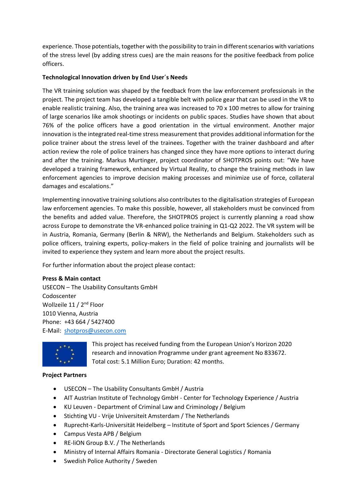experience. Those potentials, together with the possibility to train in different scenarios with variations of the stress level (by adding stress cues) are the main reasons for the positive feedback from police officers.

## **Technological Innovation driven by End User´s Needs**

The VR training solution was shaped by the feedback from the law enforcement professionals in the project. The project team has developed a tangible belt with police gear that can be used in the VR to enable realistic training. Also, the training area was increased to 70 x 100 metres to allow for training of large scenarios like amok shootings or incidents on public spaces. Studies have shown that about 76% of the police officers have a good orientation in the virtual environment. Another major innovation is the integrated real-time stress measurement that provides additional information for the police trainer about the stress level of the trainees. Together with the trainer dashboard and after action review the role of police trainers has changed since they have more options to interact during and after the training. Markus Murtinger, project coordinator of SHOTPROS points out: "We have developed a training framework, enhanced by Virtual Reality, to change the training methods in law enforcement agencies to improve decision making processes and minimize use of force, collateral damages and escalations."

Implementing innovative training solutions also contributes to the digitalisation strategies of European law enforcement agencies. To make this possible, however, all stakeholders must be convinced from the benefits and added value. Therefore, the SHOTPROS project is currently planning a road show across Europe to demonstrate the VR-enhanced police training in Q1-Q2 2022. The VR system will be in Austria, Romania, Germany (Berlin & NRW), the Netherlands and Belgium. Stakeholders such as police officers, training experts, policy-makers in the field of police training and journalists will be invited to experience they system and learn more about the project results.

For further information about the project please contact:

### **Press & Main contact**

USECON – The Usability Consultants GmbH Codoscenter Wollzeile 11 / 2<sup>nd</sup> Floor 1010 Vienna, Austria Phone: +43 664 / 5427400 E‐Mail: [shotpros@usecon.com](mailto:shotpros@usecon.com)



This project has received funding from the European Union's Horizon 2020 research and innovation Programme under grant agreement No 833672. Total cost: 5.1 Million Euro; Duration: 42 months.

### **Project Partners**

- USECON The Usability Consultants GmbH / Austria
- AIT Austrian Institute of Technology GmbH Center for Technology Experience / Austria
- KU Leuven Department of Criminal Law and Criminology / Belgium
- Stichting VU Vrije Universiteit Amsterdam / The Netherlands
- Ruprecht-Karls-Universität Heidelberg Institute of Sport and Sport Sciences / Germany
- Campus Vesta APB / Belgium
- RE-liON Group B.V. / The Netherlands
- Ministry of Internal Affairs Romania Directorate General Logistics / Romania
- Swedish Police Authority / Sweden